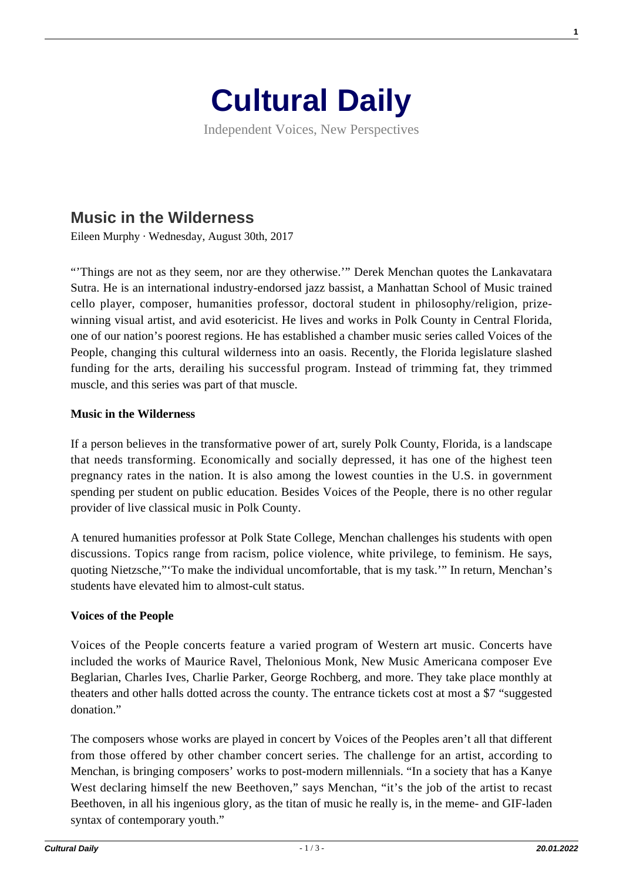

Independent Voices, New Perspectives

# **[Music in the Wilderness](https://culturaldaily.com/music-in-the-wilderness/)**

Eileen Murphy · Wednesday, August 30th, 2017

"'Things are not as they seem, nor are they otherwise.'" Derek Menchan quotes the Lankavatara Sutra. He is an international industry-endorsed jazz bassist, a Manhattan School of Music trained cello player, composer, humanities professor, doctoral student in philosophy/religion, prizewinning visual artist, and avid esotericist. He lives and works in Polk County in Central Florida, one of our nation's poorest regions. He has established a chamber music series called Voices of the People, changing this cultural wilderness into an oasis. Recently, the Florida legislature slashed funding for the arts, derailing his successful program. Instead of trimming fat, they trimmed muscle, and this series was part of that muscle.

### **Music in the Wilderness**

If a person believes in the transformative power of art, surely Polk County, Florida, is a landscape that needs transforming. Economically and socially depressed, it has one of the highest teen pregnancy rates in the nation. It is also among the lowest counties in the U.S. in government spending per student on public education. Besides Voices of the People, there is no other regular provider of live classical music in Polk County.

A tenured humanities professor at Polk State College, Menchan challenges his students with open discussions. Topics range from racism, police violence, white privilege, to feminism. He says, quoting Nietzsche,"'To make the individual uncomfortable, that is my task.'" In return, Menchan's students have elevated him to almost-cult status.

### **Voices of the People**

Voices of the People concerts feature a varied program of Western art music. Concerts have included the works of Maurice Ravel, Thelonious Monk, New Music Americana composer Eve Beglarian, Charles Ives, Charlie Parker, George Rochberg, and more. They take place monthly at theaters and other halls dotted across the county. The entrance tickets cost at most a \$7 "suggested donation."

The composers whose works are played in concert by Voices of the Peoples aren't all that different from those offered by other chamber concert series. The challenge for an artist, according to Menchan, is bringing composers' works to post-modern millennials. "In a society that has a Kanye West declaring himself the new Beethoven," says Menchan, "it's the job of the artist to recast Beethoven, in all his ingenious glory, as the titan of music he really is, in the meme- and GIF-laden syntax of contemporary youth."

**1**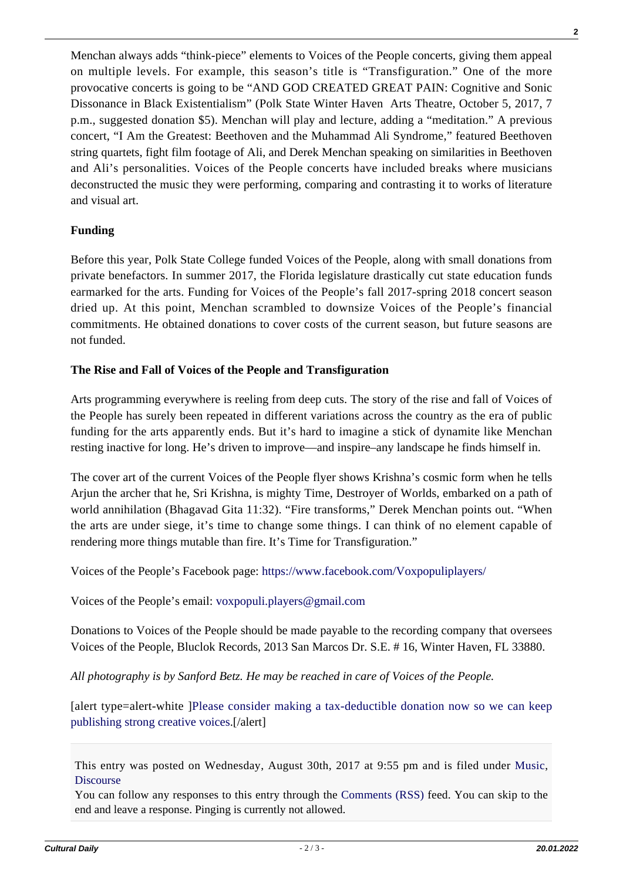**2**

Menchan always adds "think-piece" elements to Voices of the People concerts, giving them appeal on multiple levels. For example, this season's title is "Transfiguration." One of the more provocative concerts is going to be "AND GOD CREATED GREAT PAIN: Cognitive and Sonic Dissonance in Black Existentialism" (Polk State Winter Haven Arts Theatre, October 5, 2017, 7 p.m., suggested donation \$5). Menchan will play and lecture, adding a "meditation." A previous concert, "I Am the Greatest: Beethoven and the Muhammad Ali Syndrome," featured Beethoven string quartets, fight film footage of Ali, and Derek Menchan speaking on similarities in Beethoven and Ali's personalities. Voices of the People concerts have included breaks where musicians deconstructed the music they were performing, comparing and contrasting it to works of literature and visual art.

# **Funding**

Before this year, Polk State College funded Voices of the People, along with small donations from private benefactors. In summer 2017, the Florida legislature drastically cut state education funds earmarked for the arts. Funding for Voices of the People's fall 2017-spring 2018 concert season dried up. At this point, Menchan scrambled to downsize Voices of the People's financial commitments. He obtained donations to cover costs of the current season, but future seasons are not funded.

# **The Rise and Fall of Voices of the People and Transfiguration**

Arts programming everywhere is reeling from deep cuts. The story of the rise and fall of Voices of the People has surely been repeated in different variations across the country as the era of public funding for the arts apparently ends. But it's hard to imagine a stick of dynamite like Menchan resting inactive for long. He's driven to improve—and inspire–any landscape he finds himself in.

The cover art of the current Voices of the People flyer shows Krishna's cosmic form when he tells Arjun the archer that he, Sri Krishna, is mighty Time, Destroyer of Worlds, embarked on a path of world annihilation (Bhagavad Gita 11:32). "Fire transforms," Derek Menchan points out. "When the arts are under siege, it's time to change some things. I can think of no element capable of rendering more things mutable than fire. It's Time for Transfiguration."

Voices of the People's Facebook page:<https://www.facebook.com/Voxpopuliplayers/>

Voices of the People's email: [voxpopuli.players@gmail.com](mailto:voxpopuli.players@gmail.com)

Donations to Voices of the People should be made payable to the recording company that oversees Voices of the People, Bluclok Records, 2013 San Marcos Dr. S.E. # 16, Winter Haven, FL 33880.

*All photography is by Sanford Betz. He may be reached in care of Voices of the People.*

[alert type=alert-white ][Please consider making a tax-deductible donation now so we can keep](https://nextecho.org/donate/) [publishing strong creative voices.](https://nextecho.org/donate/)[/alert]

This entry was posted on Wednesday, August 30th, 2017 at 9:55 pm and is filed under [Music](https://culturaldaily.com/category/performing/music/), **[Discourse](https://culturaldaily.com/category/discourse/)** 

You can follow any responses to this entry through the [Comments \(RSS\)](https://culturaldaily.com/comments/feed/) feed. You can skip to the end and leave a response. Pinging is currently not allowed.